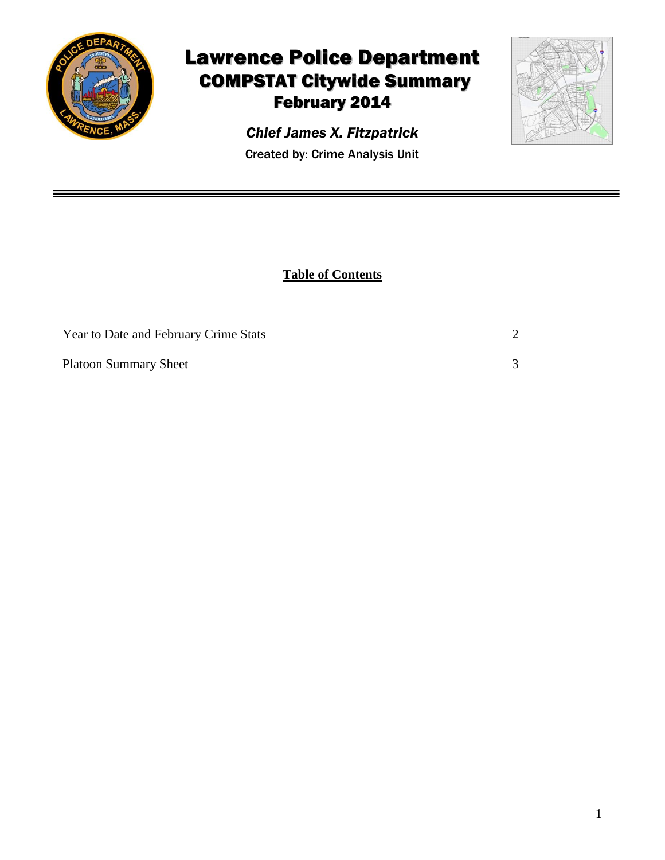

## Lawrence Police Department COMPSTAT Citywide Summary February 2014



Created by: Crime Analysis Unit *Chief James X. Fitzpatrick*

**Table of Contents**

| Year to Date and February Crime Stats |  |
|---------------------------------------|--|
| <b>Platoon Summary Sheet</b>          |  |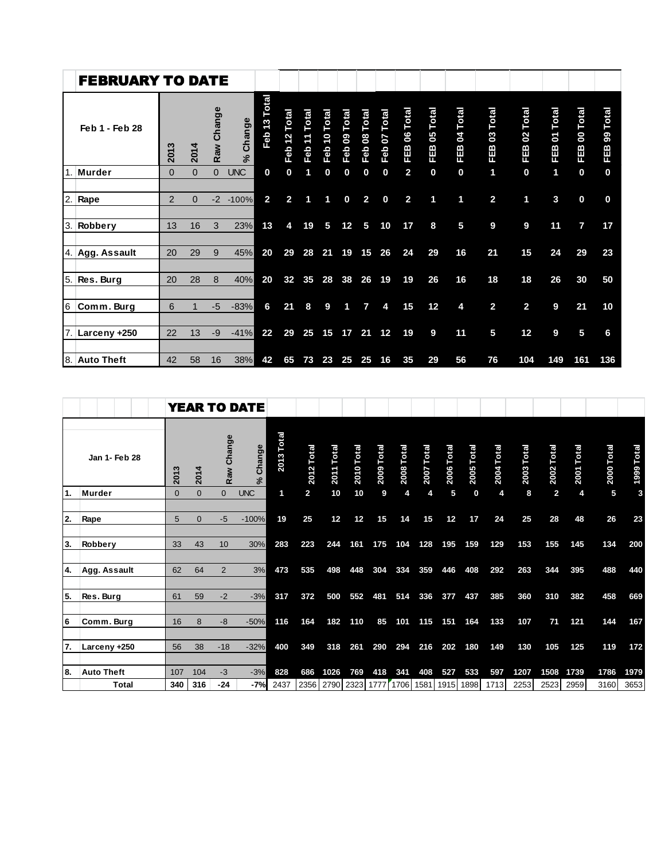|                  | <b>FEBRUARY TO DATE</b> |                |              |              |              |                    |                 |                    |                    |                    |                    |                    |                    |                    |                   |                           |                              |                   |                          |                     |
|------------------|-------------------------|----------------|--------------|--------------|--------------|--------------------|-----------------|--------------------|--------------------|--------------------|--------------------|--------------------|--------------------|--------------------|-------------------|---------------------------|------------------------------|-------------------|--------------------------|---------------------|
|                  | Feb 1 - Feb 28          | 2013           | 2014         | Raw Change   | Change<br>ೢೕ | Total<br>13<br>Feb | Total<br>Feb 12 | Total<br>11<br>Feb | Total<br>10<br>Feb | Total<br>80<br>Feb | Total<br>80<br>Feb | Total<br>07<br>Feb | Total<br>80<br>FEB | Total<br>80<br>FEB | Total<br>8<br>FEB | <b>Total</b><br>03<br>833 | Total<br>$\mathbf{S}$<br>EEB | Total<br>5<br>FEB | <b>Total</b><br>8<br>FEB | Total<br>စ္တ<br>FEB |
| $\overline{1}$ . | <b>Murder</b>           | $\Omega$       | $\mathbf{0}$ | $\mathbf{0}$ | <b>UNC</b>   | 0                  | $\bf{0}$        |                    | 0                  | 0                  | 0                  | 0                  | $\overline{2}$     | 0                  | 0                 | 1                         | 0                            | 1                 | $\bf{0}$                 | $\bf{0}$            |
|                  | 2. Rape                 | $\overline{2}$ | $\Omega$     | $-2$         | $-100%$      | $\overline{2}$     | $\overline{2}$  | 1                  | 1                  | 0                  | $\overline{2}$     | $\bf{0}$           | $\overline{2}$     | 1                  | 1                 | $\overline{2}$            | 1                            | 3                 | $\bf{0}$                 | 0                   |
|                  | 3. Robbery              | 13             | 16           | 3            | 23%          | 13                 | 4               | 19                 | 5                  | 12                 | 5                  | 10                 | 17                 | 8                  | 5                 | 9                         | 9                            | 11                | 7                        | 17                  |
|                  | 4. Agg. Assault         | 20             | 29           | 9            | 45%          | 20                 | 29              | 28                 | 21                 | 19                 | 15                 | 26                 | 24                 | 29                 | 16                | 21                        | 15                           | 24                | 29                       | 23                  |
|                  | 5. Res. Burg            | 20             | 28           | 8            | 40%          | 20                 | 32              | 35                 | 28                 | 38                 | 26                 | 19                 | 19                 | 26                 | 16                | 18                        | 18                           | 26                | 30                       | 50                  |
| 6 <sup>1</sup>   | Comm. Burg              | 6              |              | -5           | $-83%$       | 6                  | 21              | 8                  | 9                  | 4                  | 7                  | 4                  | 15                 | 12                 | 4                 | $\overline{2}$            | $\overline{\mathbf{2}}$      | 9                 | 21                       | 10                  |
|                  | 7. Larceny +250         | 22             | 13           | -9           | $-41%$       | 22                 | 29              | 25                 | 15                 | 17                 | 21                 | 12                 | 19                 | 9                  | 11                | 5                         | 12                           | 9                 | 5                        | 6                   |
|                  | 8. Auto Theft           | 42             | 58           | 16           | 38%          | 42                 | 65              | 73                 | 23                 | 25                 | 25                 | 16                 | 35                 | 29                 | 56                | 76                        | 104                          | 149               | 161                      | 136                 |

|     |                   |          |          |                | <b>YEAR TO DATE</b> |               |                |               |               |               |                          |               |               |               |               |               |                |               |            |            |
|-----|-------------------|----------|----------|----------------|---------------------|---------------|----------------|---------------|---------------|---------------|--------------------------|---------------|---------------|---------------|---------------|---------------|----------------|---------------|------------|------------|
|     | Jan 1- Feb 28     | 2013     | 2014     | Raw Change     | Change<br>$\approx$ | Total<br>2013 | 2012 Total     | Total<br>2011 | Total<br>2010 | Total<br>2009 | <b>Total</b><br>2008     | Total<br>2007 | Total<br>2006 | Total<br>2005 | Total<br>2004 | Total<br>2003 | Total<br>2002  | Total<br>2001 | 2000 Total | 1999 Total |
| 11. | Murder            | $\Omega$ | $\Omega$ | $\Omega$       | <b>UNC</b>          | 1             | $\overline{2}$ | 10            | 10            | 9             | 4                        | 4             | 5             | $\bf{0}$      | 4             | 8             | $\overline{2}$ | 4             | 5          | 3          |
| 2.  | Rape              | 5        | $\Omega$ | $-5$           | $-100%$             | 19            | 25             | 12            | 12            | 15            | 14                       | 15            | 12            | 17            | 24            | 25            | 28             | 48            | 26         | 23         |
| 13. | Robbery           | 33       | 43       | 10             | 30%                 | 283           | 223            | 244           | 161           | 175           | 104                      | 128           | 195           | 159           | 129           | 153           | 155            | 145           | 134        | 200        |
| 14. | Agg. Assault      | 62       | 64       | $\overline{2}$ | 3%                  | 473           | 535            | 498           | 448           | 304           | 334                      | 359           | 446           | 408           | 292           | 263           | 344            | 395           | 488        | 440        |
| 5.  | Res. Burg         | 61       | 59       | $-2$           | $-3%$               | 317           | 372            | 500           | 552           | 481           | 514                      | 336           | 377           | 437           | 385           | 360           | 310            | 382           | 458        | 669        |
| l6  | Comm. Burg        | 16       | 8        | $-8$           | $-50%$              | 116           | 164            | 182           | 110           | 85            | 101                      | 115           | 151           | 164           | 133           | 107           | 71             | 121           | 144        | 167        |
| 17. | Larceny +250      | 56       | 38       | $-18$          | $-32%$              | 400           | 349            | 318           | 261           | 290           | 294                      | 216           | 202           | 180           | 149           | 130           | 105            | 125           | 119        | 172        |
| 18. | <b>Auto Theft</b> | 107      | 104      | $-3$           | $-3%$               | 828           | 686            | 1026          | 769           | 418           | 341                      | 408           | 527           | 533           | 597           | 1207          | 1508           | 1739          | 1786       | 1979       |
|     | <b>Total</b>      | 340      | 316      | $-24$          | $-7%$               | 2437          | 2356           |               | 2790 2323     |               | 1777 1706 1581 1915 1898 |               |               |               | 1713          | 2253          | 2523           | 2959          | 3160       | 3653       |